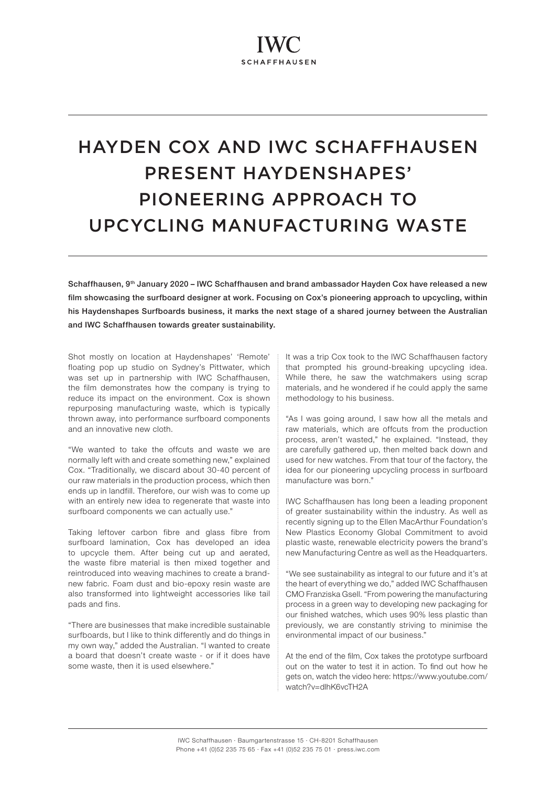# HAYDEN COX AND IWC SCHAFFHAUSEN PRESENT HAYDENSHAPES' PIONEERING APPROACH TO UPCYCLING MANUFACTURING WASTE

Schaffhausen, 9<sup>th</sup> January 2020 – IWC Schaffhausen and brand ambassador Hayden Cox have released a new film showcasing the surfboard designer at work. Focusing on Cox's pioneering approach to upcycling, within his Haydenshapes Surfboards business, it marks the next stage of a shared journey between the Australian and IWC Schaffhausen towards greater sustainability.

Shot mostly on location at Haydenshapes' 'Remote' floating pop up studio on Sydney's Pittwater, which was set up in partnership with IWC Schaffhausen, the film demonstrates how the company is trying to reduce its impact on the environment. Cox is shown repurposing manufacturing waste, which is typically thrown away, into performance surfboard components and an innovative new cloth.

"We wanted to take the offcuts and waste we are normally left with and create something new," explained Cox. "Traditionally, we discard about 30-40 percent of our raw materials in the production process, which then ends up in landfill. Therefore, our wish was to come up with an entirely new idea to regenerate that waste into surfboard components we can actually use."

Taking leftover carbon fibre and glass fibre from surfboard lamination, Cox has developed an idea to upcycle them. After being cut up and aerated, the waste fibre material is then mixed together and reintroduced into weaving machines to create a brandnew fabric. Foam dust and bio-epoxy resin waste are also transformed into lightweight accessories like tail pads and fins.

"There are businesses that make incredible sustainable surfboards, but I like to think differently and do things in my own way," added the Australian. "I wanted to create a board that doesn't create waste - or if it does have some waste, then it is used elsewhere."

It was a trip Cox took to the IWC Schaffhausen factory that prompted his ground-breaking upcycling idea. While there, he saw the watchmakers using scrap materials, and he wondered if he could apply the same methodology to his business.

"As I was going around, I saw how all the metals and raw materials, which are offcuts from the production process, aren't wasted," he explained. "Instead, they are carefully gathered up, then melted back down and used for new watches. From that tour of the factory, the idea for our pioneering upcycling process in surfboard manufacture was born."

IWC Schaffhausen has long been a leading proponent of greater sustainability within the industry. As well as recently signing up to the Ellen MacArthur Foundation's New Plastics Economy Global Commitment to avoid plastic waste, renewable electricity powers the brand's new Manufacturing Centre as well as the Headquarters.

"We see sustainability as integral to our future and it's at the heart of everything we do," added IWC Schaffhausen CMO Franziska Gsell. "From powering the manufacturing process in a green way to developing new packaging for our finished watches, which uses 90% less plastic than previously, we are constantly striving to minimise the environmental impact of our business."

At the end of the film, Cox takes the prototype surfboard out on the water to test it in action. To find out how he gets on, watch the video here: [https://www.youtube.com/](https://www.youtube.com/watch?v=dlhK6vcTH2A) [watch?v=dlhK6vcTH2A](https://www.youtube.com/watch?v=dlhK6vcTH2A)